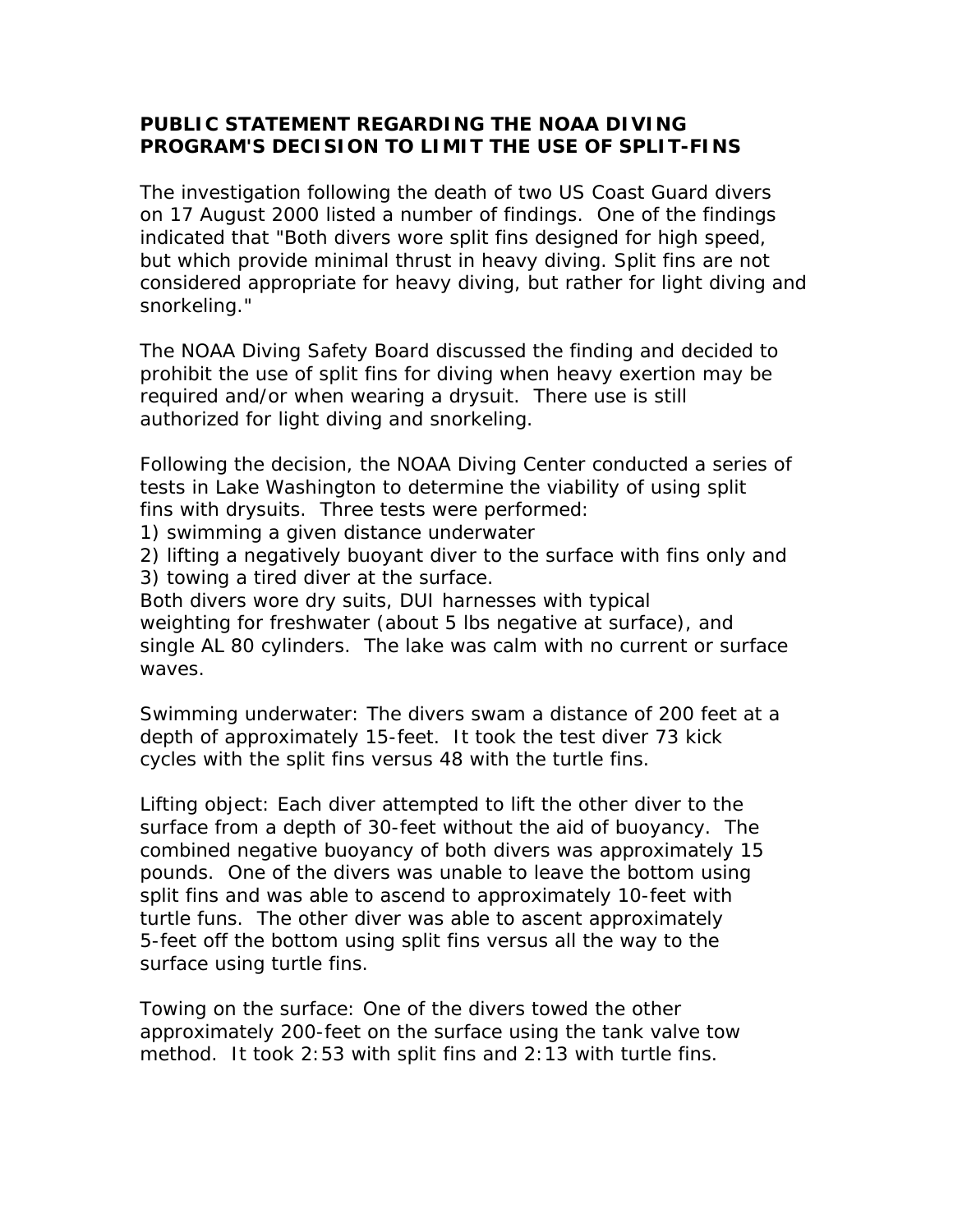## **PUBLIC STATEMENT REGARDING THE NOAA DIVING PROGRAM'S DECISION TO LIMIT THE USE OF SPLIT-FINS**

The investigation following the death of two US Coast Guard divers on 17 August 2000 listed a number of findings. One of the findings indicated that "Both divers wore split fins designed for high speed, but which provide minimal thrust in heavy diving. Split fins are not considered appropriate for heavy diving, but rather for light diving and snorkeling."

The NOAA Diving Safety Board discussed the finding and decided to prohibit the use of split fins for diving when heavy exertion may be required and/or when wearing a drysuit. There use is still authorized for light diving and snorkeling.

Following the decision, the NOAA Diving Center conducted a series of tests in Lake Washington to determine the viability of using split fins with drysuits. Three tests were performed:

- 1) swimming a given distance underwater
- 2) lifting a negatively buoyant diver to the surface with fins only and
- 3) towing a tired diver at the surface.

Both divers wore dry suits, DUI harnesses with typical weighting for freshwater (about 5 lbs negative at surface), and single AL 80 cylinders. The lake was calm with no current or surface waves.

Swimming underwater: The divers swam a distance of 200 feet at a depth of approximately 15-feet. It took the test diver 73 kick cycles with the split fins versus 48 with the turtle fins.

Lifting object: Each diver attempted to lift the other diver to the surface from a depth of 30-feet without the aid of buoyancy. The combined negative buoyancy of both divers was approximately 15 pounds. One of the divers was unable to leave the bottom using split fins and was able to ascend to approximately 10-feet with turtle funs. The other diver was able to ascent approximately 5-feet off the bottom using split fins versus all the way to the surface using turtle fins.

Towing on the surface: One of the divers towed the other approximately 200-feet on the surface using the tank valve tow method. It took 2:53 with split fins and 2:13 with turtle fins.